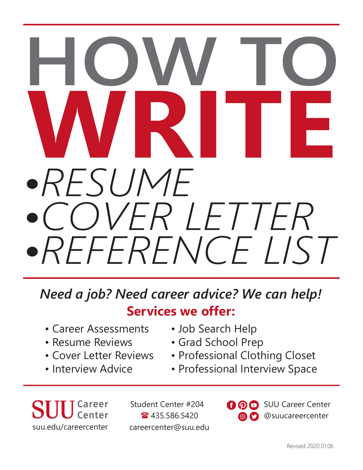# *•RESUME •COVER LETTER •REFERENCE LIST* **WRITE HOW TO**

**Services we offer:** *Need a job? Need career advice? We can help!*

- Career Assessments
- Resume Reviews
- Cover Letter Reviews
- Interview Advice
- Job Search Help
- Grad School Prep
- Professional Clothing Closet
- Professional Interview Space

Student Center #204 <sup>3</sup>435.586.5420 suu.edu/careercenter careercenter@suu.edu  $\bf 0$   $\bf 0$ SUU Career Center @suucareercenter  $\circledcirc$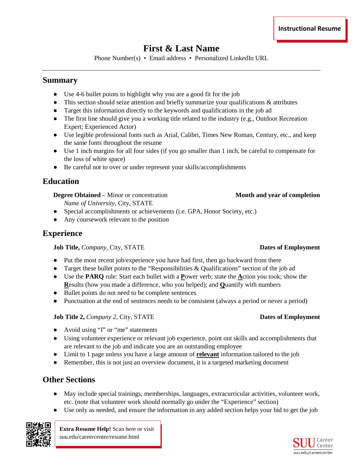# **First & Last Name**

Phone Number(s) • Email address • Personalized LinkedIn URL

## **Summary**

- Use 4-6 bullet points to highlight why you are a good fit for the job
- $\bullet$  This section should seize attention and briefly summarize your qualifications  $\&$  attributes
- Target this information directly to the keywords and qualifications in the job ad
- The first line should give you a working title related to the industry (e.g., Outdoor Recreation Expert; Experienced Actor)
- Use legible professional fonts such as Arial, Calibri, Times New Roman, Century, etc., and keep the same fonts throughout the resume
- Use 1 inch margins for all four sides (if you go smaller than 1 inch, be careful to compensate for the loss of white space)
- Be careful not to over or under represent your skills/accomplishments

## **Education**

**Degree Obtained** – Minor or concentration **Month and year of completion** 

*Name of University*, City, STATE

- Special accomplishments or achievements (i.e. GPA, Honor Society, etc.)
- Any coursework relevant to the position

## **Experience**

**Job Title,** *Company***, City, STATE <b>Dates of Employment Dates of Employment** 

- Put the most recent job/experience you have had first, then go backward from there
- Target these bullet points to the "Responsibilities  $\&$  Qualifications" section of the job ad
- Use the **PARQ** rule: Start each bullet with a **P**ower verb; state the **A**ction you took; show the **R**esults (how you made a difference, who you helped); and **Q**uantify with numbers
- Bullet points do not need to be complete sentences
- Punctuation at the end of sentences needs to be consistent (always a period or never a period)

## **Job Title 2,** *Company 2***, City, STATE <b>Dates of Employment**

- Avoid using "I" or "me" statements
- Using volunteer experience or relevant job experience, point out skills and accomplishments that are relevant to the job and indicate you are an outstanding employee
- Limit to 1 page unless you have a large amount of **relevant** information tailored to the job
- Remember, this is not just an overview document, it is a targeted marketing document

## **Other Sections**

- May include special trainings, memberships, languages, extracurricular activities, volunteer work, etc. (note that volunteer work should normally go under the "Experience" section)
- Use only as needed, and ensure the information in any added section helps your bid to get the job



**Extra Resume Help!** Scan here or visit suu.edu/careercenter/resume.html

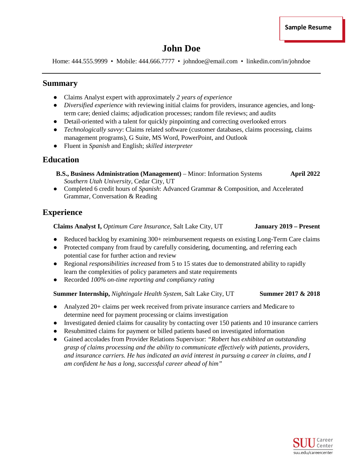## **John Doe**

Home: 444.555.9999 • Mobile: 444.666.7777 • johndoe@email.com • linkedin.com/in/johndoe

## **Summary**

- Claims Analyst expert with approximately *2 years of experience*
- *Diversified experience* with reviewing initial claims for providers, insurance agencies, and longterm care; denied claims; adjudication processes; random file reviews; and audits
- Detail-oriented with a talent for quickly pinpointing and correcting overlooked errors
- *Technologically savvy*: Claims related software (customer databases, claims processing, claims management programs), G Suite, MS Word, PowerPoint, and Outlook
- Fluent in *Spanish* and English; *skilled interpreter*

## **Education**

**B.S., Business Administration (Management)** – Minor: Information Systems **April 2022**  *Southern Utah University*, Cedar City, UT

● Completed 6 credit hours of *Spanish*: Advanced Grammar & Composition, and Accelerated Grammar, Conversation & Reading

## **Experience**

**Claims Analyst I,** *Optimum Care Insurance*, Salt Lake City, UT **January 2019 – Present**

- Reduced backlog by examining 300+ reimbursement requests on existing Long-Term Care claims
- Protected company from fraud by carefully considering, documenting, and referring each potential case for further action and review
- Regional *responsibilities increased* from 5 to 15 states due to demonstrated ability to rapidly learn the complexities of policy parameters and state requirements
- Recorded *100% on-time reporting and compliancy rating*

**Summer Internship,** *Nightingale Health System*, Salt Lake City, UT **Summer 2017 & 2018** 

- Analyzed 20+ claims per week received from private insurance carriers and Medicare to determine need for payment processing or claims investigation
- Investigated denied claims for causality by contacting over 150 patients and 10 insurance carriers
- Resubmitted claims for payment or billed patients based on investigated information
- Gained accolades from Provider Relations Supervisor: *"Robert has exhibited an outstanding grasp of claims processing and the ability to communicate effectively with patients, providers, and insurance carriers. He has indicated an avid interest in pursuing a career in claims, and I am confident he has a long, successful career ahead of him"*

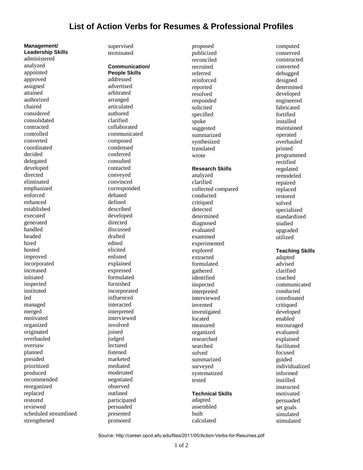## **List of Action Verbs for Resumes & Professional Profiles**

**Leadership Skills** administered analyzed appointed approved assigned attained authorized chaired considered consolidated contracted controlled converted coordinated decided delegated developed directed eliminated emphasized enforced enhanced established executed generated handled headed hired hosted improved incorporated increased initiated inspected instituted led managed merged motivated organized originated overhauled oversaw planned presided prioritized produced recommended reorganized replaced restored reviewed scheduled streamlined strengthened

**Management/**

supervised terminated

**Communication/ People Skills** addressed advertised arbitrated arranged articulated authored clarified collaborated communicated composed condensed conferred consulted contacted conveyed convinced corresponded debated defined described developed directed discussed drafted edited elicited enlisted explained expressed formulated furnished incorporated influenced interacted interpreted interviewed involved joined judged lectured listened marketed mediated moderated negotiated observed outlined participated persuaded presented promoted

proposed publicized reconciled recruited referred reinforced reported resolved responded solicited specified spoke suggested summarized synthesized translated wrote **Research Skills** analyzed clarified collected compared conducted critiqued detected determined diagnosed evaluated examined experimented explored extracted formulated gathered identified inspected interpreted interviewed invented investigated located measured organized researched searched solved summarized surveyed systematized tested **Technical Skills**

adapted assembled built calculated

computed conserved constructed converted debugged designed determined developed engineered fabricated fortified installed maintained operated overhauled printed programmed rectified regulated remodeled repaired replaced restored solved specialized standardized studied upgraded utilized **Teaching Skills** adapted advised clarified coached

communicated conducted coordinated critiqued developed enabled encouraged evaluated explained facilitated focused guided individualized informed instilled instructed motivated persuaded set goals simulated stimulated

Source: http://career.opcd.wfu.edu/files/2011/05/Action-Verbs-for-Resumes.pdf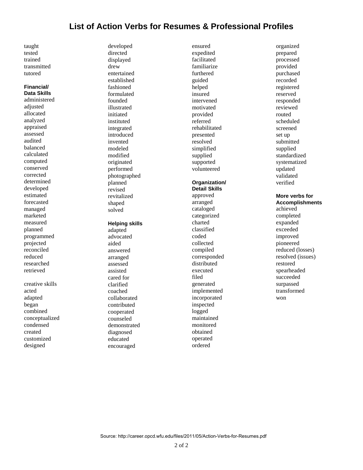## **List of Action Verbs for Resumes & Professional Profiles**

taught tested trained transmitted tutored

#### **Financial/ Data Skills**

administered adjusted allocated analyzed appraised assessed audited balanced calculated computed conserved corrected determined developed estimated forecasted managed marketed measured planned programmed projected reconciled reduced researched retrieved

creative skills acted adapted began combined conceptualized condensed created customized designed

developed directed displayed drew entertained established fashioned formulated founded illustrated initiated instituted integrated introduced invented modeled modified originated performed photographed planned revised revitalized shaped solved

#### **Helping skills**

adapted advocated aided answered arranged assessed assisted cared for clarified coached collaborated contributed cooperated counseled demonstrated diagnosed educated encouraged

ensured expedited facilitated familiarize furthered guided helped insured intervened motivated provided referred rehabilitated presented resolved simplified supplied supported volunteered

#### **Organization/ Detail Skills**

approved arranged cataloged categorized charted classified coded collected compiled corresponded distributed executed filed generated implemented incorporated inspected logged maintained monitored obtained operated ordered

organized prepared processed provided purchased recorded registered reserved responded reviewed routed scheduled screened set up submitted supplied standardized systematized updated validated verified

#### **More verbs for Accomplishments**

achieved completed expanded exceeded improved pioneered reduced (losses) resolved (issues) restored spearheaded succeeded surpassed transformed won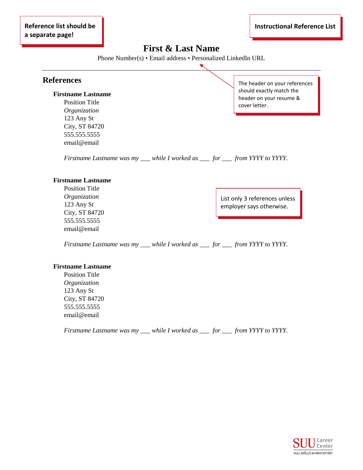## **First & Last Name**

Phone Number(s) • Email address • Personalized LinkedIn URL

 $\blacktriangledown$ 

## **References**

#### **Firstname Lastname**

Position Title *Organization* 123 Any St City, ST 84720 555.555.5555 email@email

The header on your references should exactly match the header on your resume & cover letter.

*Firstname Lastname was my \_\_\_ while I worked as \_\_\_ for \_\_\_ from YYYY to YYYY.*

#### **Firstname Lastname**

Position Title *Organization* 123 Any St City, ST 84720 555.555.5555 email@email

List only 3 references unless employer says otherwise.

*Firstname Lastname was my \_\_\_ while I worked as \_\_\_ for \_\_\_ from YYYY to YYYY.*

#### **Firstname Lastname**

Position Title *Organization* 123 Any St City, ST 84720 555.555.5555 email@email

*Firstname Lastname was my \_\_\_ while I worked as \_\_\_ for \_\_\_ from YYYY to YYYY.*

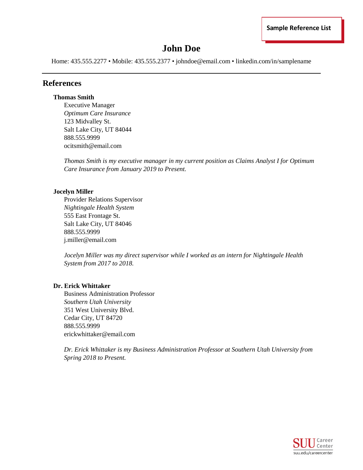# **John Doe**

Home: 435.555.2277 • Mobile: 435.555.2377 • johndoe@email.com • linkedin.com/in/samplename

## **References**

### **Thomas Smith**

Executive Manager *Optimum Care Insurance*  123 Midvalley St. Salt Lake City, UT 84044 888.555.9999 ocitsmith@email.com

*Thomas Smith is my executive manager in my current position as Claims Analyst I for Optimum Care Insurance from January 2019 to Present.* 

## **Jocelyn Miller**

Provider Relations Supervisor *Nightingale Health System*  555 East Frontage St. Salt Lake City, UT 84046 888.555.9999 j.miller@email.com

*Jocelyn Miller was my direct supervisor while I worked as an intern for Nightingale Health System from 2017 to 2018.* 

## **Dr. Erick Whittaker**

Business Administration Professor *Southern Utah University*  351 West University Blvd. Cedar City, UT 84720 888.555.9999 erickwhittaker@email.com

*Dr. Erick Whittaker is my Business Administration Professor at Southern Utah University from Spring 2018 to Present.*

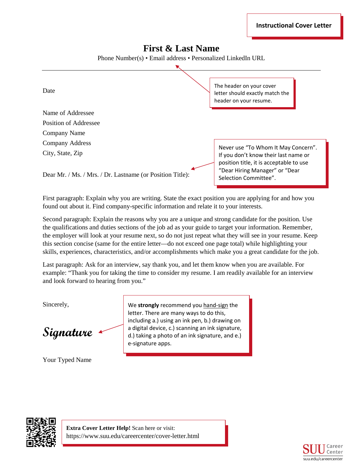## **First & Last Name**

Phone Number(s) • Email address • Personalized LinkedIn URL



First paragraph: Explain why you are writing. State the exact position you are applying for and how you found out about it. Find company-specific information and relate it to your interests.

Second paragraph: Explain the reasons why you are a unique and strong candidate for the position. Use the qualifications and duties sections of the job ad as your guide to target your information. Remember, the employer will look at your resume next, so do not just repeat what they will see in your resume. Keep this section concise (same for the entire letter—do not exceed one page total) while highlighting your skills, experiences, characteristics, and/or accomplishments which make you a great candidate for the job.

Last paragraph: Ask for an interview, say thank you, and let them know when you are available. For example: "Thank you for taking the time to consider my resume. I am readily available for an interview and look forward to hearing from you."

Sincerely,

**Signature**

Your Typed Name

We **strongly** recommend you hand-sign the letter. There are many ways to do this, including a.) using an ink pen, b.) drawing on a digital device, c.) scanning an ink signature, d.) taking a photo of an ink signature, and e.) e-signature apps.



**Extra Cover Letter Help!** Scan here or visit: https://www.suu.edu/careercenter/cover-letter.html